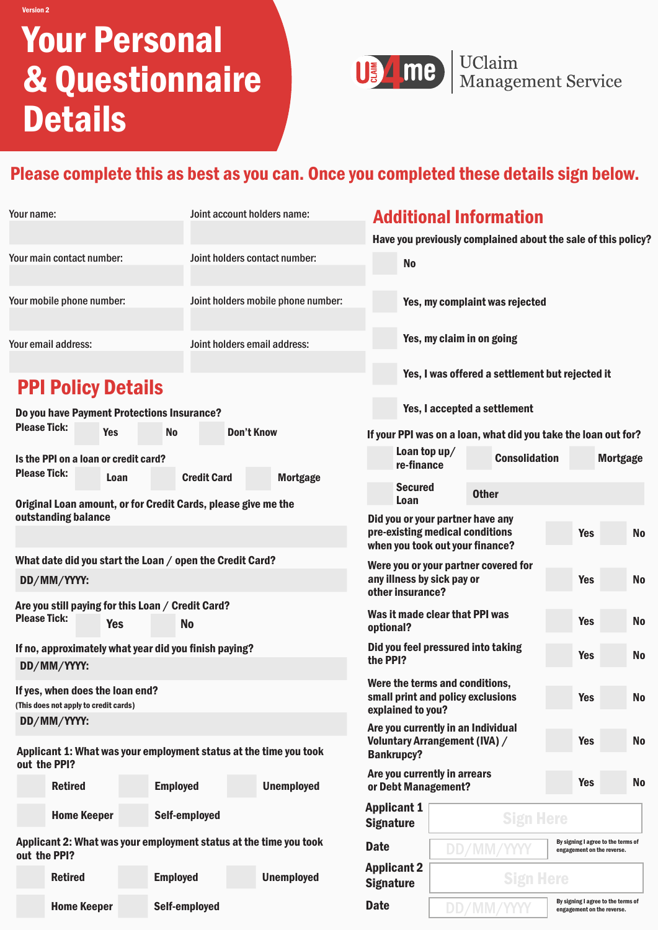# Your Personal & Questionnaire Details



USAME Nanagement Service

## Please complete this as best as you can. Once you completed these details sign below.

| Your name:                                                                                          |                                                                          |                                                                                                                                                          |                                                          |                   | Joint account holders name:                                       | <b>Additional Information</b>                                                                          |                                                                           |                                                                                |                                                               |           |            |                                                                  |
|-----------------------------------------------------------------------------------------------------|--------------------------------------------------------------------------|----------------------------------------------------------------------------------------------------------------------------------------------------------|----------------------------------------------------------|-------------------|-------------------------------------------------------------------|--------------------------------------------------------------------------------------------------------|---------------------------------------------------------------------------|--------------------------------------------------------------------------------|---------------------------------------------------------------|-----------|------------|------------------------------------------------------------------|
|                                                                                                     |                                                                          |                                                                                                                                                          |                                                          |                   |                                                                   |                                                                                                        |                                                                           |                                                                                | Have you previously complained about the sale of this policy? |           |            |                                                                  |
| Your main contact number:                                                                           |                                                                          |                                                                                                                                                          |                                                          |                   | Joint holders contact number:                                     | <b>No</b>                                                                                              |                                                                           |                                                                                |                                                               |           |            |                                                                  |
| Your mobile phone number:                                                                           |                                                                          |                                                                                                                                                          |                                                          |                   | Joint holders mobile phone number:                                |                                                                                                        | Yes, my complaint was rejected                                            |                                                                                |                                                               |           |            |                                                                  |
| Your email address:                                                                                 |                                                                          |                                                                                                                                                          |                                                          |                   | Joint holders email address:                                      |                                                                                                        | Yes, my claim in on going                                                 |                                                                                |                                                               |           |            |                                                                  |
|                                                                                                     | <b>PPI Policy Details</b>                                                |                                                                                                                                                          |                                                          |                   |                                                                   |                                                                                                        |                                                                           |                                                                                | Yes, I was offered a settlement but rejected it               |           |            |                                                                  |
|                                                                                                     |                                                                          |                                                                                                                                                          | Do you have Payment Protections Insurance?               |                   |                                                                   |                                                                                                        | Yes, I accepted a settlement                                              |                                                                                |                                                               |           |            |                                                                  |
| <b>Please Tick:</b><br><b>Yes</b>                                                                   |                                                                          |                                                                                                                                                          | <b>No</b>                                                | <b>Don't Know</b> |                                                                   | If your PPI was on a loan, what did you take the loan out for?                                         |                                                                           |                                                                                |                                                               |           |            |                                                                  |
|                                                                                                     | Is the PPI on a loan or credit card?                                     |                                                                                                                                                          |                                                          |                   |                                                                   | re-finance                                                                                             | Loan top up/                                                              |                                                                                | <b>Consolidation</b>                                          |           |            | <b>Mortgage</b>                                                  |
| <b>Please Tick:</b>                                                                                 |                                                                          | <b>Credit Card</b><br><b>Mortgage</b><br>Loan<br><b>Secured</b><br><b>Other</b><br>Loan<br>Original Loan amount, or for Credit Cards, please give me the |                                                          |                   |                                                                   |                                                                                                        |                                                                           |                                                                                |                                                               |           |            |                                                                  |
|                                                                                                     | outstanding balance                                                      |                                                                                                                                                          |                                                          |                   |                                                                   | Did you or your partner have any<br>pre-existing medical conditions<br>when you took out your finance? |                                                                           |                                                                                |                                                               |           | <b>Yes</b> | <b>No</b>                                                        |
|                                                                                                     |                                                                          |                                                                                                                                                          | What date did you start the Loan / open the Credit Card? |                   |                                                                   | Were you or your partner covered for                                                                   |                                                                           |                                                                                |                                                               |           |            |                                                                  |
| DD/MM/YYYY:                                                                                         |                                                                          |                                                                                                                                                          |                                                          |                   |                                                                   |                                                                                                        | any illness by sick pay or<br><b>No</b><br><b>Yes</b><br>other insurance? |                                                                                |                                                               |           |            |                                                                  |
| Are you still paying for this Loan / Credit Card?<br><b>Please Tick:</b><br><b>No</b><br><b>Yes</b> |                                                                          |                                                                                                                                                          |                                                          |                   |                                                                   | optional?                                                                                              | Was it made clear that PPI was                                            |                                                                                |                                                               |           | <b>Yes</b> | <b>No</b>                                                        |
| If no, approximately what year did you finish paying?<br>DD/MM/YYYY:                                |                                                                          |                                                                                                                                                          |                                                          |                   |                                                                   | the PPI?                                                                                               | Did you feel pressured into taking                                        |                                                                                |                                                               |           | <b>Yes</b> | <b>No</b>                                                        |
|                                                                                                     | If yes, when does the loan end?<br>(This does not apply to credit cards) |                                                                                                                                                          |                                                          |                   |                                                                   | Were the terms and conditions,<br>small print and policy exclusions<br>explained to you?               |                                                                           |                                                                                |                                                               |           | <b>Yes</b> | <b>No</b>                                                        |
|                                                                                                     | DD/MM/YYYY:                                                              |                                                                                                                                                          |                                                          |                   | Applicant 1: What was your employment status at the time you took | Are you currently in an Individual<br><b>Voluntary Arrangement (IVA) /</b><br><b>Bankrupcy?</b>        |                                                                           |                                                                                |                                                               |           | <b>Yes</b> | <b>No</b>                                                        |
| out the PPI?<br><b>Retired</b>                                                                      |                                                                          | <b>Employed</b>                                                                                                                                          |                                                          | <b>Unemployed</b> |                                                                   | Are you currently in arrears<br><b>Yes</b><br>or Debt Management?                                      |                                                                           |                                                                                |                                                               | <b>No</b> |            |                                                                  |
|                                                                                                     | <b>Home Keeper</b>                                                       |                                                                                                                                                          | Self-employed                                            |                   |                                                                   | <b>Applicant 1</b><br><b>Signature</b>                                                                 | <b>Sign Here</b>                                                          |                                                                                |                                                               |           |            |                                                                  |
| out the PPI?                                                                                        |                                                                          |                                                                                                                                                          |                                                          |                   | Applicant 2: What was your employment status at the time you took | <b>Date</b>                                                                                            |                                                                           | DD/MM                                                                          |                                                               |           |            | By signing I agree to the terms of<br>engagement on the reverse. |
|                                                                                                     | <b>Retired</b>                                                           |                                                                                                                                                          | <b>Employed</b>                                          |                   | <b>Unemployed</b>                                                 | <b>Signature</b>                                                                                       | <b>Applicant 2</b><br><b>Sign Here</b>                                    |                                                                                |                                                               |           |            |                                                                  |
|                                                                                                     | <b>Home Keeper</b><br>Self-employed                                      |                                                                                                                                                          |                                                          |                   |                                                                   | <b>Date</b>                                                                                            |                                                                           | By signing I agree to the terms of<br>DD/MM/YYYY<br>engagement on the reverse. |                                                               |           |            |                                                                  |